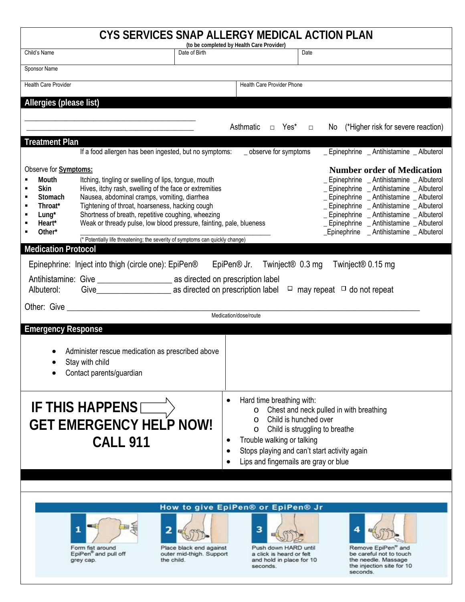| CYS SERVICES SNAP ALLERGY MEDICAL ACTION PLAN                                                                                                                                                                                                                                                                                                                                                    |                                                                                                                                                                                                                                                                                                                                                                                                                                 |                                           |                                                                                                                                                                                                                                                                                           |        |                                                                                                                                                                                                                                                                                                                                                             |  |  |
|--------------------------------------------------------------------------------------------------------------------------------------------------------------------------------------------------------------------------------------------------------------------------------------------------------------------------------------------------------------------------------------------------|---------------------------------------------------------------------------------------------------------------------------------------------------------------------------------------------------------------------------------------------------------------------------------------------------------------------------------------------------------------------------------------------------------------------------------|-------------------------------------------|-------------------------------------------------------------------------------------------------------------------------------------------------------------------------------------------------------------------------------------------------------------------------------------------|--------|-------------------------------------------------------------------------------------------------------------------------------------------------------------------------------------------------------------------------------------------------------------------------------------------------------------------------------------------------------------|--|--|
| Child's Name                                                                                                                                                                                                                                                                                                                                                                                     | Date of Birth                                                                                                                                                                                                                                                                                                                                                                                                                   | (to be completed by Health Care Provider) |                                                                                                                                                                                                                                                                                           | Date   |                                                                                                                                                                                                                                                                                                                                                             |  |  |
| Sponsor Name                                                                                                                                                                                                                                                                                                                                                                                     |                                                                                                                                                                                                                                                                                                                                                                                                                                 |                                           |                                                                                                                                                                                                                                                                                           |        |                                                                                                                                                                                                                                                                                                                                                             |  |  |
| <b>Health Care Provider</b>                                                                                                                                                                                                                                                                                                                                                                      |                                                                                                                                                                                                                                                                                                                                                                                                                                 |                                           | Health Care Provider Phone                                                                                                                                                                                                                                                                |        |                                                                                                                                                                                                                                                                                                                                                             |  |  |
| Allergies (please list)                                                                                                                                                                                                                                                                                                                                                                          |                                                                                                                                                                                                                                                                                                                                                                                                                                 |                                           |                                                                                                                                                                                                                                                                                           |        |                                                                                                                                                                                                                                                                                                                                                             |  |  |
|                                                                                                                                                                                                                                                                                                                                                                                                  |                                                                                                                                                                                                                                                                                                                                                                                                                                 |                                           |                                                                                                                                                                                                                                                                                           |        |                                                                                                                                                                                                                                                                                                                                                             |  |  |
|                                                                                                                                                                                                                                                                                                                                                                                                  |                                                                                                                                                                                                                                                                                                                                                                                                                                 |                                           | Asthmatic<br>□ Yes*                                                                                                                                                                                                                                                                       | $\Box$ | No (*Higher risk for severe reaction)                                                                                                                                                                                                                                                                                                                       |  |  |
| <b>Treatment Plan</b>                                                                                                                                                                                                                                                                                                                                                                            | If a food allergen has been ingested, but no symptoms:                                                                                                                                                                                                                                                                                                                                                                          |                                           | _ observe for symptoms                                                                                                                                                                                                                                                                    |        | _ Epinephrine _ Antihistamine _ Albuterol                                                                                                                                                                                                                                                                                                                   |  |  |
|                                                                                                                                                                                                                                                                                                                                                                                                  |                                                                                                                                                                                                                                                                                                                                                                                                                                 |                                           |                                                                                                                                                                                                                                                                                           |        |                                                                                                                                                                                                                                                                                                                                                             |  |  |
| Observe for <b>Symptoms:</b><br>Mouth<br><b>Skin</b><br>٠<br><b>Stomach</b><br>Throat*<br>Е<br>$Lung*$<br>٠<br>Heart*<br>Other*                                                                                                                                                                                                                                                                  | Itching, tingling or swelling of lips, tongue, mouth<br>Hives, itchy rash, swelling of the face or extremities<br>Nausea, abdominal cramps, vomiting, diarrhea<br>Tightening of throat, hoarseness, hacking cough<br>Shortness of breath, repetitive coughing, wheezing<br>Weak or thready pulse, low blood pressure, fainting, pale, blueness<br>(* Potentially life threatening; the severity of symptoms can quickly change) |                                           |                                                                                                                                                                                                                                                                                           |        | <b>Number order of Medication</b><br>_ Epinephrine _ Antihistamine _ Albuterol<br>_ Epinephrine _ Antihistamine _ Albuterol<br>_ Epinephrine _ Antihistamine _ Albuterol<br>_ Epinephrine _ Antihistamine _ Albuterol<br>_ Epinephrine _ Antihistamine _ Albuterol<br>_ Epinephrine _ Antihistamine _ Albuterol<br>_Epinephrine _ Antihistamine _ Albuterol |  |  |
| <b>Medication Protocol</b>                                                                                                                                                                                                                                                                                                                                                                       |                                                                                                                                                                                                                                                                                                                                                                                                                                 |                                           |                                                                                                                                                                                                                                                                                           |        |                                                                                                                                                                                                                                                                                                                                                             |  |  |
| Epinephrine: Inject into thigh (circle one): EpiPen® EpiPen® Jr.<br>Twinject <sup>®</sup> 0.3 mg<br>Twinject <sup>®</sup> 0.15 mg                                                                                                                                                                                                                                                                |                                                                                                                                                                                                                                                                                                                                                                                                                                 |                                           |                                                                                                                                                                                                                                                                                           |        |                                                                                                                                                                                                                                                                                                                                                             |  |  |
|                                                                                                                                                                                                                                                                                                                                                                                                  |                                                                                                                                                                                                                                                                                                                                                                                                                                 |                                           |                                                                                                                                                                                                                                                                                           |        |                                                                                                                                                                                                                                                                                                                                                             |  |  |
| Albuterol:                                                                                                                                                                                                                                                                                                                                                                                       |                                                                                                                                                                                                                                                                                                                                                                                                                                 |                                           |                                                                                                                                                                                                                                                                                           |        |                                                                                                                                                                                                                                                                                                                                                             |  |  |
| Medication/dose/route                                                                                                                                                                                                                                                                                                                                                                            |                                                                                                                                                                                                                                                                                                                                                                                                                                 |                                           |                                                                                                                                                                                                                                                                                           |        |                                                                                                                                                                                                                                                                                                                                                             |  |  |
| <b>Emergency Response</b>                                                                                                                                                                                                                                                                                                                                                                        |                                                                                                                                                                                                                                                                                                                                                                                                                                 |                                           |                                                                                                                                                                                                                                                                                           |        |                                                                                                                                                                                                                                                                                                                                                             |  |  |
|                                                                                                                                                                                                                                                                                                                                                                                                  | Administer rescue medication as prescribed above<br>Stay with child<br>Contact parents/guardian                                                                                                                                                                                                                                                                                                                                 |                                           |                                                                                                                                                                                                                                                                                           |        |                                                                                                                                                                                                                                                                                                                                                             |  |  |
|                                                                                                                                                                                                                                                                                                                                                                                                  | IF THIS HAPPENS $\boxed{\phantom{1242}^-}$<br><b>GET EMERGENCY HELP NOW!</b><br><b>CALL 911</b>                                                                                                                                                                                                                                                                                                                                 |                                           | Hard time breathing with:<br>Chest and neck pulled in with breathing<br>$\circ$<br>Child is hunched over<br>$\Omega$<br>Child is struggling to breathe<br>$\Omega$<br>Trouble walking or talking<br>Stops playing and can't start activity again<br>Lips and fingernails are gray or blue |        |                                                                                                                                                                                                                                                                                                                                                             |  |  |
|                                                                                                                                                                                                                                                                                                                                                                                                  |                                                                                                                                                                                                                                                                                                                                                                                                                                 |                                           |                                                                                                                                                                                                                                                                                           |        |                                                                                                                                                                                                                                                                                                                                                             |  |  |
| How to give EpiPen® or EpiPen® Jr<br>з<br>1<br>2<br>4<br>Remove EpiPen® and<br>Form fist around<br>Place black end against<br>Push down HARD until<br>EpiPen® and pull off<br>outer mid-thigh. Support<br>a click is heard or felt<br>be careful not to touch<br>the child.<br>and hold in place for 10<br>the needle. Massage<br>grey cap.<br>the injection site for 10<br>seconds.<br>seconds. |                                                                                                                                                                                                                                                                                                                                                                                                                                 |                                           |                                                                                                                                                                                                                                                                                           |        |                                                                                                                                                                                                                                                                                                                                                             |  |  |